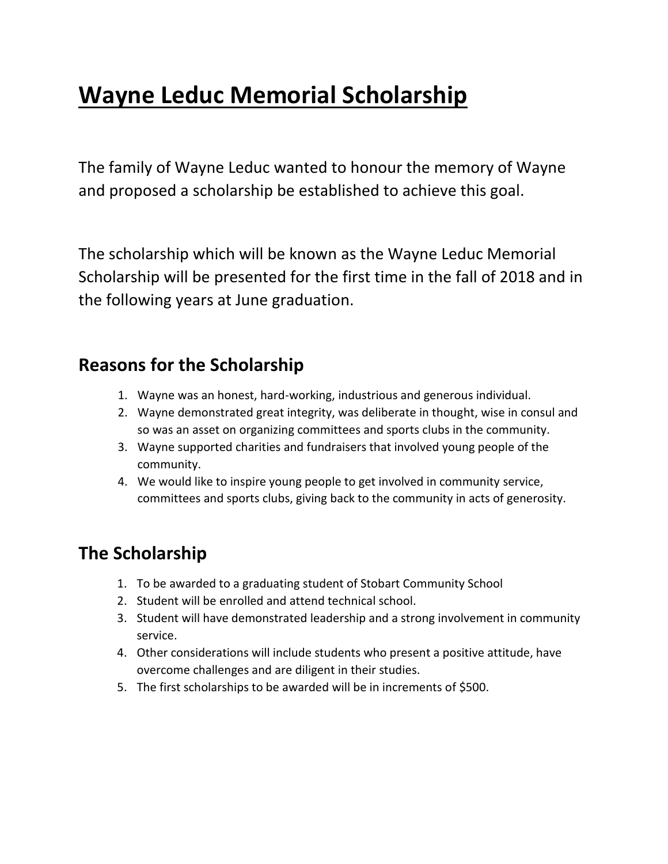## **Wayne Leduc Memorial Scholarship**

The family of Wayne Leduc wanted to honour the memory of Wayne and proposed a scholarship be established to achieve this goal.

The scholarship which will be known as the Wayne Leduc Memorial Scholarship will be presented for the first time in the fall of 2018 and in the following years at June graduation.

### **Reasons for the Scholarship**

- 1. Wayne was an honest, hard-working, industrious and generous individual.
- 2. Wayne demonstrated great integrity, was deliberate in thought, wise in consul and so was an asset on organizing committees and sports clubs in the community.
- 3. Wayne supported charities and fundraisers that involved young people of the community.
- 4. We would like to inspire young people to get involved in community service, committees and sports clubs, giving back to the community in acts of generosity.

## **The Scholarship**

- 1. To be awarded to a graduating student of Stobart Community School
- 2. Student will be enrolled and attend technical school.
- 3. Student will have demonstrated leadership and a strong involvement in community service.
- 4. Other considerations will include students who present a positive attitude, have overcome challenges and are diligent in their studies.
- 5. The first scholarships to be awarded will be in increments of \$500.